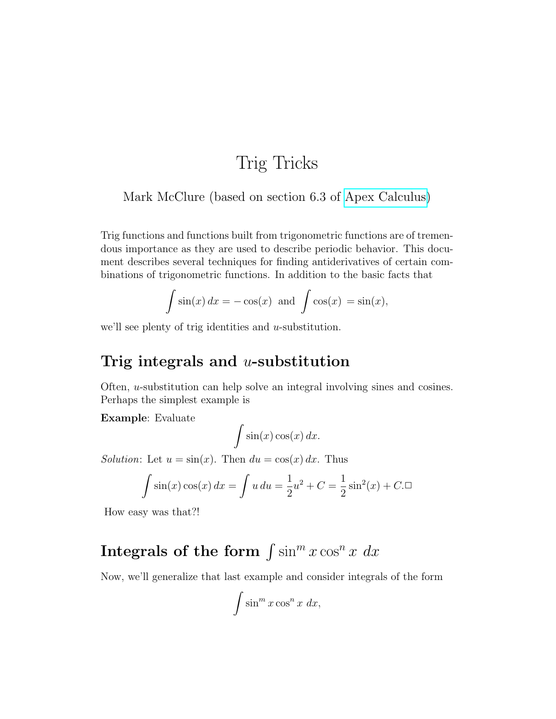## Trig Tricks

### Mark McClure (based on section 6.3 of [Apex Calculus\)](http://www.apexcalculus.com/)

Trig functions and functions built from trigonometric functions are of tremendous importance as they are used to describe periodic behavior. This document describes several techniques for finding antiderivatives of certain combinations of trigonometric functions. In addition to the basic facts that

$$
\int \sin(x) dx = -\cos(x) \text{ and } \int \cos(x) = \sin(x),
$$

we'll see plenty of trig identities and  $u$ -substitution.

### Trig integrals and  $u$ -substitution

Often, u-substitution can help solve an integral involving sines and cosines. Perhaps the simplest example is

Example: Evaluate

$$
\int \sin(x) \cos(x) \, dx.
$$

Solution: Let  $u = sin(x)$ . Then  $du = cos(x) dx$ . Thus

$$
\int \sin(x)\cos(x) \, dx = \int u \, du = \frac{1}{2}u^2 + C = \frac{1}{2}\sin^2(x) + C.\Box
$$

How easy was that?!

# Integrals of the form  $\int \sin^m x \cos^n x \ dx$

Now, we'll generalize that last example and consider integrals of the form

$$
\int \sin^m x \cos^n x \ dx,
$$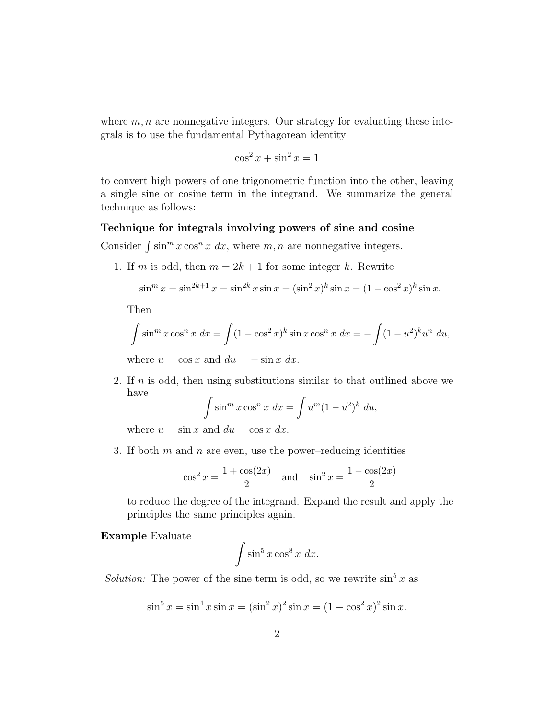where  $m, n$  are nonnegative integers. Our strategy for evaluating these integrals is to use the fundamental Pythagorean identity

$$
\cos^2 x + \sin^2 x = 1
$$

to convert high powers of one trigonometric function into the other, leaving a single sine or cosine term in the integrand. We summarize the general technique as follows:

#### Technique for integrals involving powers of sine and cosine

Consider  $\int \sin^m x \cos^n x \, dx$ , where m, n are nonnegative integers.

1. If m is odd, then  $m = 2k + 1$  for some integer k. Rewrite

$$
\sin^m x = \sin^{2k+1} x = \sin^{2k} x \sin x = (\sin^2 x)^k \sin x = (1 - \cos^2 x)^k \sin x.
$$

Then

$$
\int \sin^m x \cos^n x \, dx = \int (1 - \cos^2 x)^k \sin x \cos^n x \, dx = -\int (1 - u^2)^k u^n \, du,
$$
  
where  $u = \cos x$  and  $du = -\sin x \, dx$ 

where  $u = \cos x$  and  $du = -\sin x \, dx$ .

2. If  $n$  is odd, then using substitutions similar to that outlined above we have

$$
\int \sin^m x \cos^n x \, dx = \int u^m (1 - u^2)^k \, du,
$$

where  $u = \sin x$  and  $du = \cos x dx$ .

3. If both  $m$  and  $n$  are even, use the power–reducing identities

$$
\cos^2 x = \frac{1 + \cos(2x)}{2}
$$
 and  $\sin^2 x = \frac{1 - \cos(2x)}{2}$ 

to reduce the degree of the integrand. Expand the result and apply the principles the same principles again.

#### Example Evaluate

$$
\int \sin^5 x \cos^8 x \ dx.
$$

*Solution:* The power of the sine term is odd, so we rewrite  $\sin^5 x$  as

$$
\sin^5 x = \sin^4 x \sin x = (\sin^2 x)^2 \sin x = (1 - \cos^2 x)^2 \sin x.
$$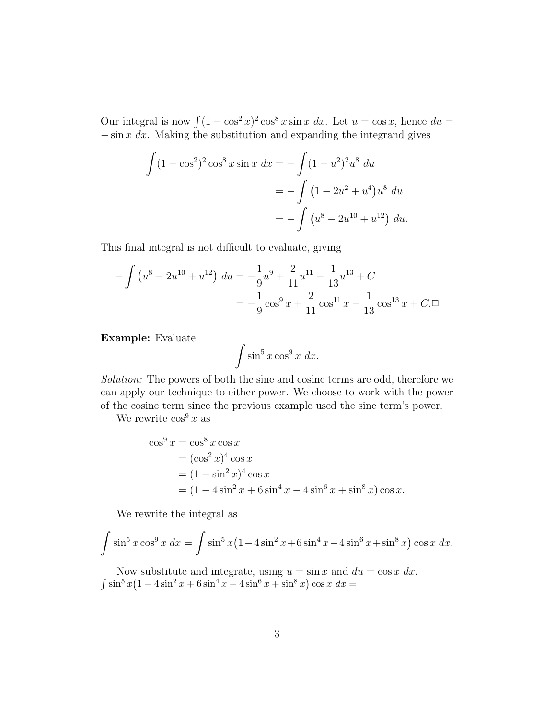Our integral is now  $\int (1 - \cos^2 x)^2 \cos^8 x \sin x \ dx$ . Let  $u = \cos x$ , hence  $du =$  $-\sin x \, dx$ . Making the substitution and expanding the integrand gives

$$
\int (1 - \cos^2)^2 \cos^8 x \sin x \, dx = -\int (1 - u^2)^2 u^8 \, du
$$

$$
= -\int (1 - 2u^2 + u^4) u^8 \, du
$$

$$
= -\int (u^8 - 2u^{10} + u^{12}) \, du.
$$

This final integral is not difficult to evaluate, giving

$$
-\int \left(u^8 - 2u^{10} + u^{12}\right) du = -\frac{1}{9}u^9 + \frac{2}{11}u^{11} - \frac{1}{13}u^{13} + C
$$

$$
= -\frac{1}{9}\cos^9 x + \frac{2}{11}\cos^{11} x - \frac{1}{13}\cos^{13} x + C
$$

Example: Evaluate

$$
\int \sin^5 x \cos^9 x \ dx.
$$

Solution: The powers of both the sine and cosine terms are odd, therefore we can apply our technique to either power. We choose to work with the power of the cosine term since the previous example used the sine term's power.

We rewrite  $\cos^9 x$  as

$$
\cos^{9} x = \cos^{8} x \cos x
$$
  
=  $(\cos^{2} x)^{4} \cos x$   
=  $(1 - \sin^{2} x)^{4} \cos x$   
=  $(1 - 4 \sin^{2} x + 6 \sin^{4} x - 4 \sin^{6} x + \sin^{8} x) \cos x.$ 

We rewrite the integral as

$$
\int \sin^5 x \cos^9 x \, dx = \int \sin^5 x (1 - 4\sin^2 x + 6\sin^4 x - 4\sin^6 x + \sin^8 x) \cos x \, dx.
$$

Now substitute and integrate, using  $u = \sin x$  and  $du = \cos x dx$ .  $\int \sin^5 x (1 - 4\sin^2 x + 6\sin^4 x - 4\sin^6 x + \sin^8 x) \cos x \ dx =$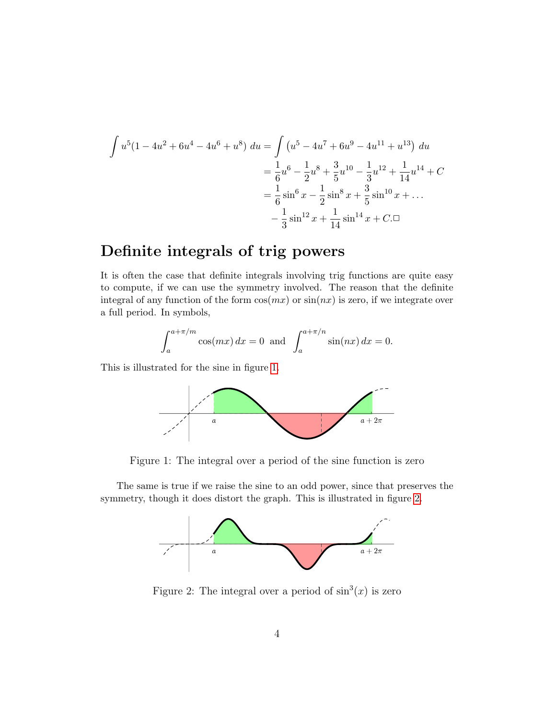$$
\int u^5 (1 - 4u^2 + 6u^4 - 4u^6 + u^8) du = \int (u^5 - 4u^7 + 6u^9 - 4u^{11} + u^{13}) du
$$
  
=  $\frac{1}{6}u^6 - \frac{1}{2}u^8 + \frac{3}{5}u^{10} - \frac{1}{3}u^{12} + \frac{1}{14}u^{14} + C$   
=  $\frac{1}{6}\sin^6 x - \frac{1}{2}\sin^8 x + \frac{3}{5}\sin^{10} x + ...$   
=  $\frac{1}{3}\sin^{12} x + \frac{1}{14}\sin^{14} x + C$ .

### Definite integrals of trig powers

It is often the case that definite integrals involving trig functions are quite easy to compute, if we can use the symmetry involved. The reason that the definite integral of any function of the form  $\cos(mx)$  or  $\sin(nx)$  is zero, if we integrate over a full period. In symbols,

$$
\int_{a}^{a+\pi/m} \cos(mx) dx = 0 \text{ and } \int_{a}^{a+\pi/n} \sin(nx) dx = 0.
$$

This is illustrated for the sine in figure [1.](#page-3-0)



<span id="page-3-0"></span>Figure 1: The integral over a period of the sine function is zero

The same is true if we raise the sine to an odd power, since that preserves the symmetry, though it does distort the graph. This is illustrated in figure [2.](#page-3-1)



<span id="page-3-1"></span>Figure 2: The integral over a period of  $\sin^3(x)$  is zero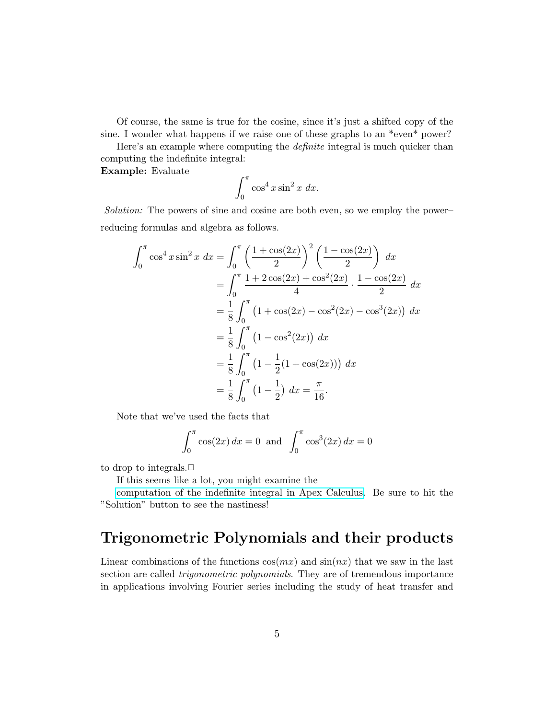Of course, the same is true for the cosine, since it's just a shifted copy of the sine. I wonder what happens if we raise one of these graphs to an  $*$ even $*$  power?

Here's an example where computing the *definite* integral is much quicker than computing the indefinite integral:

Example: Evaluate

$$
\int_0^\pi \cos^4 x \sin^2 x \ dx.
$$

Solution: The powers of sine and cosine are both even, so we employ the power– reducing formulas and algebra as follows.

$$
\int_0^\pi \cos^4 x \sin^2 x \, dx = \int_0^\pi \left( \frac{1 + \cos(2x)}{2} \right)^2 \left( \frac{1 - \cos(2x)}{2} \right) \, dx
$$
  
= 
$$
\int_0^\pi \frac{1 + 2\cos(2x) + \cos^2(2x)}{4} \cdot \frac{1 - \cos(2x)}{2} \, dx
$$
  
= 
$$
\frac{1}{8} \int_0^\pi \left( 1 + \cos(2x) - \cos^2(2x) - \cos^3(2x) \right) \, dx
$$
  
= 
$$
\frac{1}{8} \int_0^\pi \left( 1 - \cos^2(2x) \right) \, dx
$$
  
= 
$$
\frac{1}{8} \int_0^\pi \left( 1 - \frac{1}{2} (1 + \cos(2x)) \right) \, dx
$$
  
= 
$$
\frac{1}{8} \int_0^\pi \left( 1 - \frac{1}{2} \right) \, dx = \frac{\pi}{16}.
$$

Note that we've used the facts that

$$
\int_0^{\pi} \cos(2x) dx = 0 \text{ and } \int_0^{\pi} \cos^3(2x) dx = 0
$$

to drop to integrals. $\Box$ 

If this seems like a lot, you might examine the

[computation of the indefinite integral in Apex Calculus.](https://opentext.uleth.ca/apex-calculus/sec_trigint.html#ex_trigint3) Be sure to hit the "Solution" button to see the nastiness!

### Trigonometric Polynomials and their products

Linear combinations of the functions  $cos(mx)$  and  $sin(nx)$  that we saw in the last section are called *trigonometric polynomials*. They are of tremendous importance in applications involving Fourier series including the study of heat transfer and